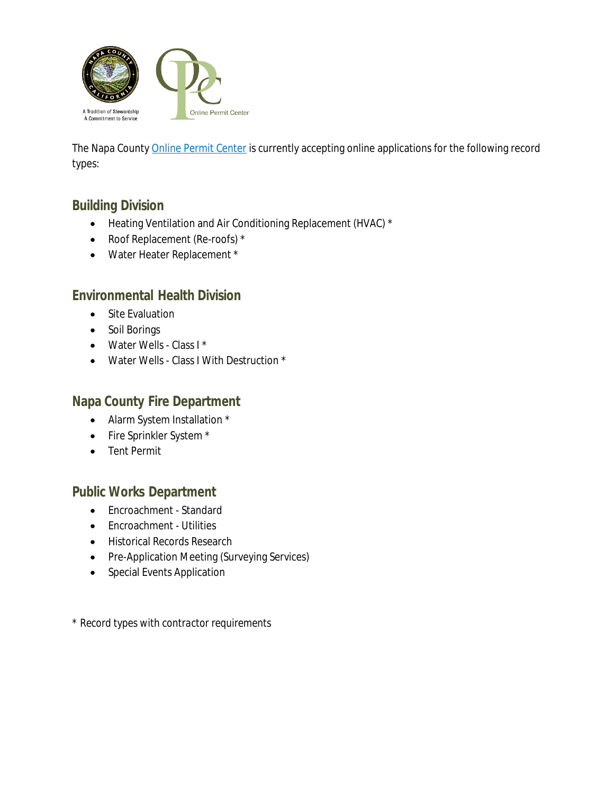

The Napa County [Online Permit Center](https://citizen.countyofnapa.org/CitizenAccess/Default.aspx) is currently accepting online applications for the following record types:

# **Building Division**

- Heating Ventilation and Air Conditioning Replacement (HVAC) \*
- Roof Replacement (Re-roofs) \*
- Water Heater Replacement \*

### **Environmental Health Division**

- Site Evaluation
- Soil Borings
- Water Wells Class I \*
- Water Wells Class I With Destruction \*

#### **Napa County Fire Department**

- Alarm System Installation \*
- Fire Sprinkler System \*
- Tent Permit

# **Public Works Department**

- Encroachment Standard
- Encroachment Utilities
- **•** Historical Records Research
- Pre-Application Meeting (Surveying Services)
- Special Events Application

*\* Record types with contractor requirements*